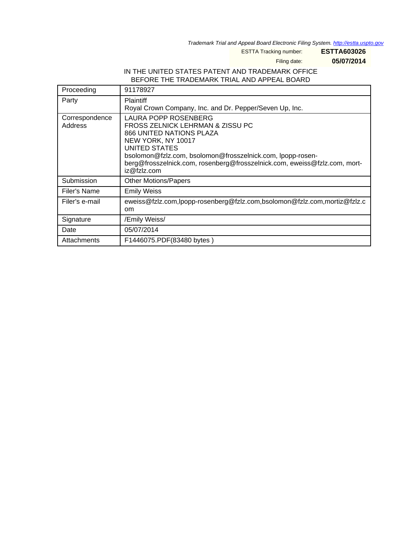Trademark Trial and Appeal Board Electronic Filing System. <http://estta.uspto.gov>

ESTTA Tracking number: **ESTTA603026**

Filing date: **05/07/2014**

## IN THE UNITED STATES PATENT AND TRADEMARK OFFICE BEFORE THE TRADEMARK TRIAL AND APPEAL BOARD

| Proceeding                | 91178927                                                                                                                                                                                                                                                                                     |
|---------------------------|----------------------------------------------------------------------------------------------------------------------------------------------------------------------------------------------------------------------------------------------------------------------------------------------|
| Party                     | <b>Plaintiff</b><br>Royal Crown Company, Inc. and Dr. Pepper/Seven Up, Inc.                                                                                                                                                                                                                  |
| Correspondence<br>Address | LAURA POPP ROSENBERG<br>FROSS ZELNICK LEHRMAN & ZISSU PC<br><b>866 UNITED NATIONS PLAZA</b><br>NEW YORK, NY 10017<br>UNITED STATES<br>bsolomon@fzlz.com, bsolomon@frosszelnick.com, lpopp-rosen-<br>berg@frosszelnick.com, rosenberg@frosszelnick.com, eweiss@fzlz.com, mort-<br>iz@fzlz.com |
| Submission                | <b>Other Motions/Papers</b>                                                                                                                                                                                                                                                                  |
| Filer's Name              | <b>Emily Weiss</b>                                                                                                                                                                                                                                                                           |
| Filer's e-mail            | eweiss@fzlz.com,lpopp-rosenberg@fzlz.com,bsolomon@fzlz.com,mortiz@fzlz.c<br><sub>om</sub>                                                                                                                                                                                                    |
| Signature                 | /Emily Weiss/                                                                                                                                                                                                                                                                                |
| Date                      | 05/07/2014                                                                                                                                                                                                                                                                                   |
| Attachments               | F1446075.PDF(83480 bytes)                                                                                                                                                                                                                                                                    |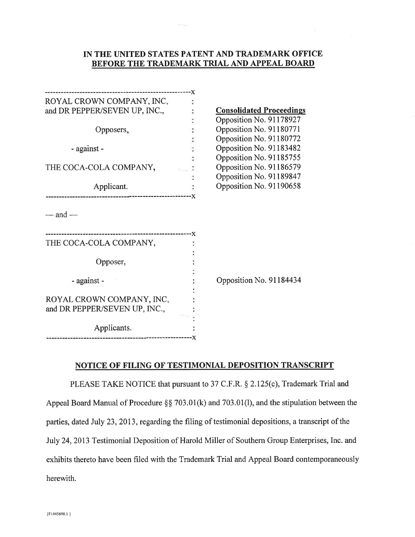## IN THE UNITED STATES PATENT AND TRADEMARK OFFICE BEFORE THE TRADEMARK TRIAL AND APPEAL BOARD

| ROYAL CROWN COMPANY, INC.     |                                 |
|-------------------------------|---------------------------------|
| and DR PEPPER/SEVEN UP, INC., | <b>Consolidated Proceedings</b> |
|                               | Opposition No. 91178927         |
| Opposers,                     | Opposition No. 91180771         |
|                               | Opposition No. 91180772         |
| - against -                   | Opposition No. 91183482         |
|                               | Opposition No. 91185755         |
| THE COCA-COLA COMPANY,        | Opposition No. 91186579         |
|                               | Opposition No. 91189847         |
| Applicant.                    | Opposition No. 91190658         |
|                               |                                 |
| — and —                       |                                 |
| THE COCA-COLA COMPANY,        |                                 |
|                               |                                 |
| Opposer,                      |                                 |
|                               |                                 |
| - against -                   | Opposition No. 91184434         |
|                               |                                 |
| ROYAL CROWN COMPANY, INC.     |                                 |
| and DR PEPPER/SEVEN UP, INC., |                                 |
|                               |                                 |
| Applicants.                   |                                 |
|                               |                                 |

## NOTICE OF FILING OF TESTIMONIAL DEPOSITION TRANSCRIPT

PLEASE TAKE NOTICE that pursuant to 37 C.F.R. § 2.125(c), Trademark Trial and Appeal Board Manual of Procedure §§ 703.01(k) and 703.01(l), and the stipulation between the parties, dated July 23, 2013, regarding the filing of testimonial depositions, a transcript of the July 24, 2013 Testimonial Deposition of Harold Miller of Southern Group Enterprises, Inc. and exhibits thereto have been filed with the Trademark Trial and Appeal Board contemporaneously herewith.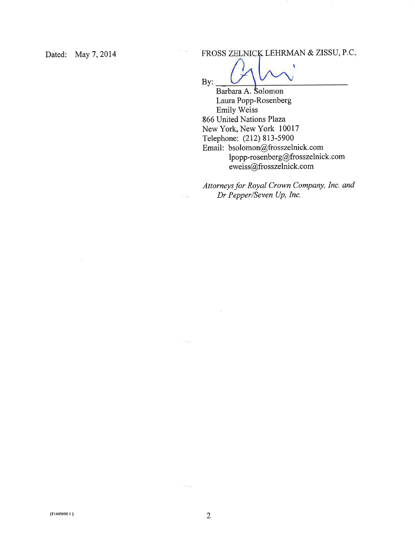Dated: May 7, 2014

FROSS ZELNICK LEHRMAN & ZISSU, P.C.

w

 $By:$ 

Barbara A. Solomon Laura Popp-Rosenberg Emily Weiss 866 United Nations Plaza New York, New York 10017 Telephone: (212) 813-5900 Email: bsolomon@frosszelnick.com lpopp-rosenberg@frosszelnick.com eweiss@frosszelnick.com

Attorneys for Royal Crown Company, Inc. and Dr Pepper/Seven Up, Inc.

 $\sim$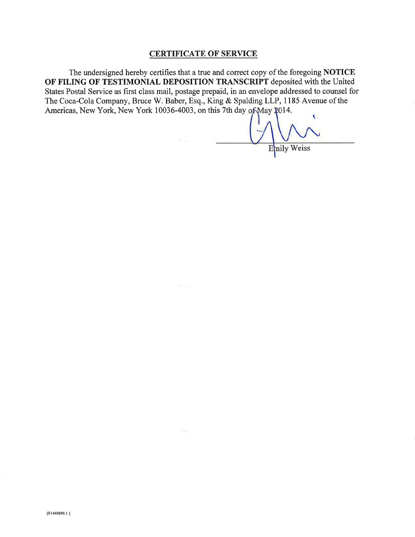## **CERTIFICATE OF SERVICE**

The undersigned hereby certifies that a true and correct copy of the foregoing NOTICE OF FILING OF TESTIMONIAL DEPOSITION TRANSCRIPT deposited with the United States Postal Service as first class mail, postage prepaid, in an envelope addressed to counsel for The Coca-Cola Company, Bruce W. Baber, Esq., King & Spalding LLP, 1185 Avenue of the Americas, New York, New York 10036-4003, on this 7th day of May 2014.

 $100 - 200$ 

 $\blacktriangledown$ Enily Weiss